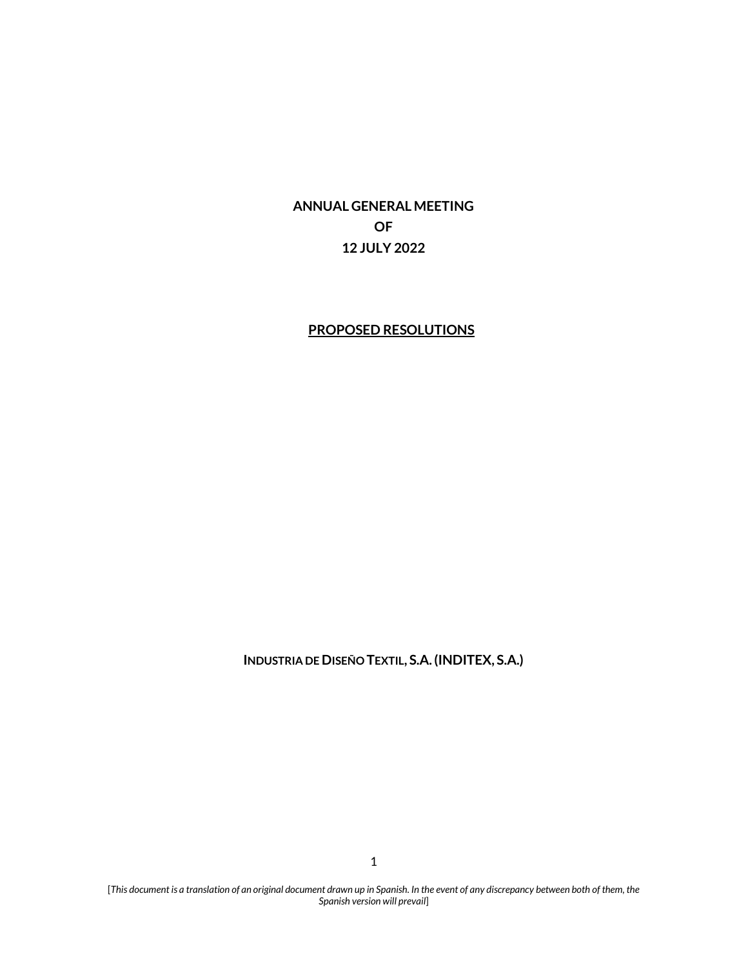**ANNUAL GENERAL MEETING OF 12 JULY 2022**

### **PROPOSED RESOLUTIONS**

**INDUSTRIA DE DISEÑO TEXTIL, S.A. (INDITEX, S.A.)**

[*This document is a translation of an original document drawn up in Spanish. In the event of any discrepancy between both of them, the Spanish version will prevail*]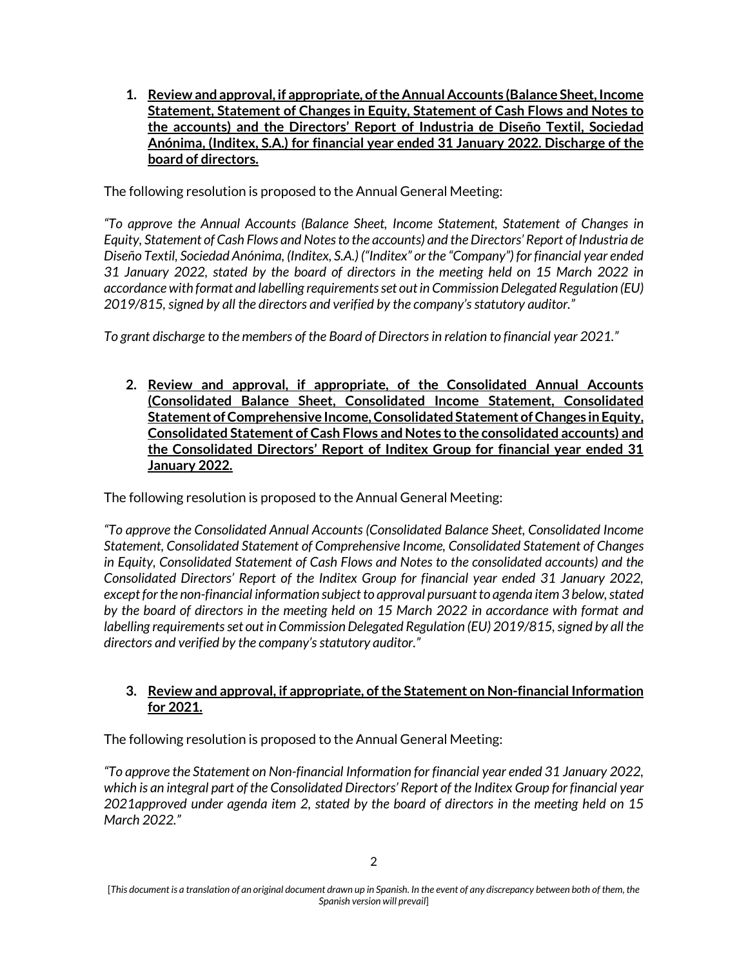**1. Review and approval, if appropriate, of the Annual Accounts (Balance Sheet, Income Statement, Statement of Changes in Equity, Statement of Cash Flows and Notes to the accounts) and the Directors' Report of Industria de Diseño Textil, Sociedad Anónima, (Inditex, S.A.) for financial year ended 31 January 2022. Discharge of the board of directors.** 

The following resolution is proposed to the Annual General Meeting:

*"To approve the Annual Accounts (Balance Sheet, Income Statement, Statement of Changes in Equity, Statement of Cash Flows and Notes to the accounts) and the Directors' Report of Industria de Diseño Textil, Sociedad Anónima, (Inditex, S.A.) ("Inditex" or the "Company") for financial year ended 31 January 2022, stated by the board of directors in the meeting held on 15 March 2022 in accordance with format and labelling requirements set out in Commission Delegated Regulation (EU) 2019/815, signed by all the directors and verified by the company's statutory auditor."*

*To grant discharge to the members of the Board of Directors in relation to financial year 2021."*

**2. Review and approval, if appropriate, of the Consolidated Annual Accounts (Consolidated Balance Sheet, Consolidated Income Statement, Consolidated Statement of Comprehensive Income, Consolidated Statement of Changes in Equity, Consolidated Statement of Cash Flows and Notes to the consolidated accounts) and the Consolidated Directors' Report of Inditex Group for financial year ended 31 January 2022.**

The following resolution is proposed to the Annual General Meeting:

*"To approve the Consolidated Annual Accounts (Consolidated Balance Sheet, Consolidated Income Statement, Consolidated Statement of Comprehensive Income, Consolidated Statement of Changes in Equity, Consolidated Statement of Cash Flows and Notes to the consolidated accounts) and the Consolidated Directors' Report of the Inditex Group for financial year ended 31 January 2022, except for the non-financial information subject to approval pursuant to agenda item 3 below, stated by the board of directors in the meeting held on 15 March 2022 in accordance with format and labelling requirements set out in Commission Delegated Regulation (EU) 2019/815, signed by all the directors and verified by the company's statutory auditor."*

# **3. Review and approval, if appropriate, of the Statement on Non-financial Information for 2021.**

The following resolution is proposed to the Annual General Meeting:

*"To approve the Statement on Non-financial Information for financial year ended 31 January 2022, which is an integral part of the Consolidated Directors' Report of the Inditex Group for financial year 2021approved under agenda item 2, stated by the board of directors in the meeting held on 15 March 2022."*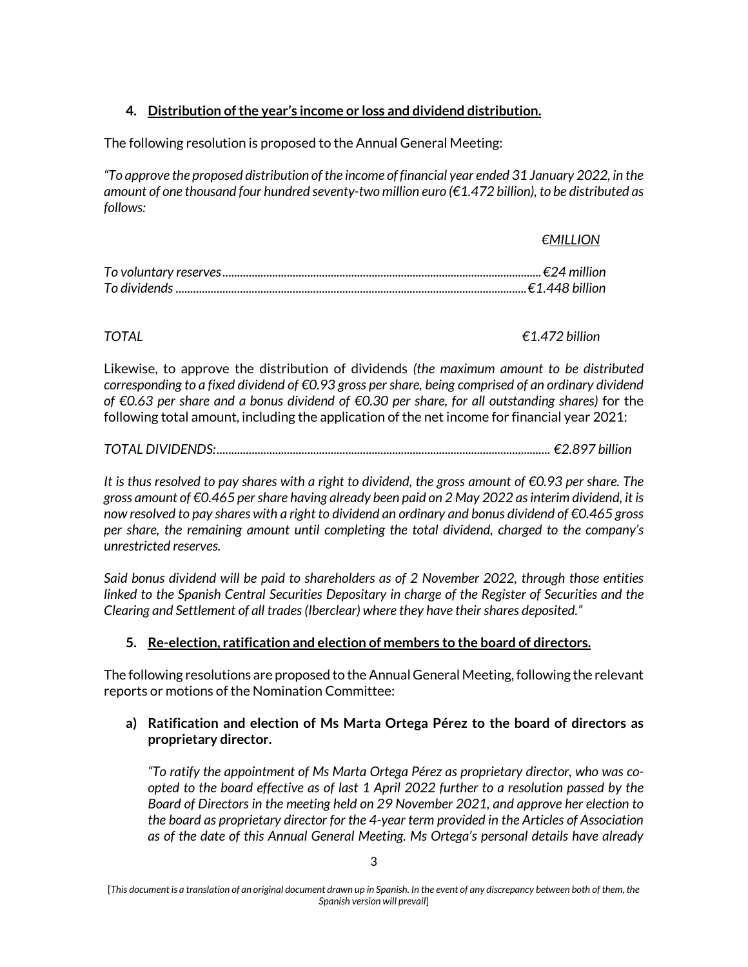# **4. Distribution of the year's income or loss and dividend distribution.**

The following resolution is proposed to the Annual General Meeting:

*"To approve the proposed distribution of the income of financial year ended 31 January 2022, in the amount of one thousand four hundred seventy-two million euro (€1.472 billion), to be distributed as follows:* 

#### *€MILLION*

*TOTAL €1.472 billion*

Likewise, to approve the distribution of dividends *(the maximum amount to be distributed corresponding to a fixed dividend of €0.93 gross per share, being comprised of an ordinary dividend of €0.63 per share and a bonus dividend of €0.30 per share, for all outstanding shares)* for the following total amount, including the application of the net income for financial year 2021:

|--|--|--|--|--|

*It is thus resolved to pay shares with a right to dividend, the gross amount of €0.93 per share. The gross amount of €0.465 per share having already been paid on 2 May 2022 as interim dividend, it is now resolved to pay shares with a right to dividend an ordinary and bonus dividend of €0.465 gross per share, the remaining amount until completing the total dividend, charged to the company's unrestricted reserves.* 

*Said bonus dividend will be paid to shareholders as of 2 November 2022, through those entities linked to the Spanish Central Securities Depositary in charge of the Register of Securities and the Clearing and Settlement of all trades (Iberclear) where they have their shares deposited."*

# **5. Re-election, ratification and election of members to the board of directors.**

The following resolutions are proposed to the Annual General Meeting, following the relevant reports or motions of the Nomination Committee:

### **a) Ratification and election of Ms Marta Ortega Pérez to the board of directors as proprietary director.**

*"To ratify the appointment of Ms Marta Ortega Pérez as proprietary director, who was coopted to the board effective as of last 1 April 2022 further to a resolution passed by the Board of Directors in the meeting held on 29 November 2021, and approve her election to the board as proprietary director for the 4-year term provided in the Articles of Association as of the date of this Annual General Meeting. Ms Ortega's personal details have already* 

<sup>[</sup>*This document is a translation of an original document drawn up in Spanish. In the event of any discrepancy between both of them, the Spanish version will prevail*]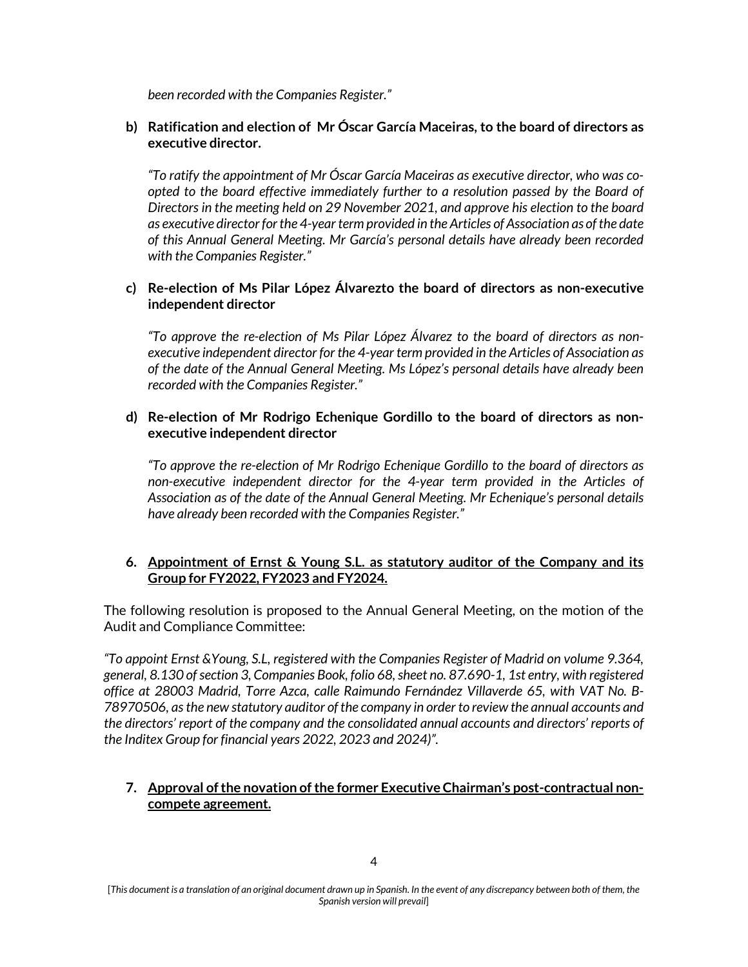*been recorded with the Companies Register."*

#### **b) Ratification and election of Mr Óscar García Maceiras, to the board of directors as executive director.**

*"To ratify the appointment of Mr Óscar García Maceiras as executive director, who was coopted to the board effective immediately further to a resolution passed by the Board of Directors in the meeting held on 29 November 2021, and approve his election to the board as executive director for the 4-year term provided in the Articles of Association as of the date of this Annual General Meeting. Mr García's personal details have already been recorded with the Companies Register."*

#### **c) Re-election of Ms Pilar López Álvarezto the board of directors as non-executive independent director**

*"To approve the re-election of Ms Pilar López Álvarez to the board of directors as nonexecutive independent director for the 4-year term provided in the Articles of Association as of the date of the Annual General Meeting. Ms López's personal details have already been recorded with the Companies Register."*

#### **d) Re-election of Mr Rodrigo Echenique Gordillo to the board of directors as nonexecutive independent director**

*"To approve the re-election of Mr Rodrigo Echenique Gordillo to the board of directors as non-executive independent director for the 4-year term provided in the Articles of Association as of the date of the Annual General Meeting. Mr Echenique's personal details have already been recorded with the Companies Register."*

#### **6. Appointment of Ernst & Young S.L. as statutory auditor of the Company and its Group for FY2022, FY2023 and FY2024.**

The following resolution is proposed to the Annual General Meeting, on the motion of the Audit and Compliance Committee:

*"To appoint Ernst &Young, S.L, registered with the Companies Register of Madrid on volume 9.364, general, 8.130 of section 3, Companies Book, folio 68, sheet no. 87.690-1, 1st entry, with registered office at 28003 Madrid, Torre Azca, calle Raimundo Fernández Villaverde 65, with VAT No. B-78970506, as the new statutory auditor of the company in order to review the annual accounts and the directors' report of the company and the consolidated annual accounts and directors' reports of the Inditex Group for financial years 2022, 2023 and 2024)".*

### **7. Approval of the novation of the former Executive Chairman's post-contractual noncompete agreement.**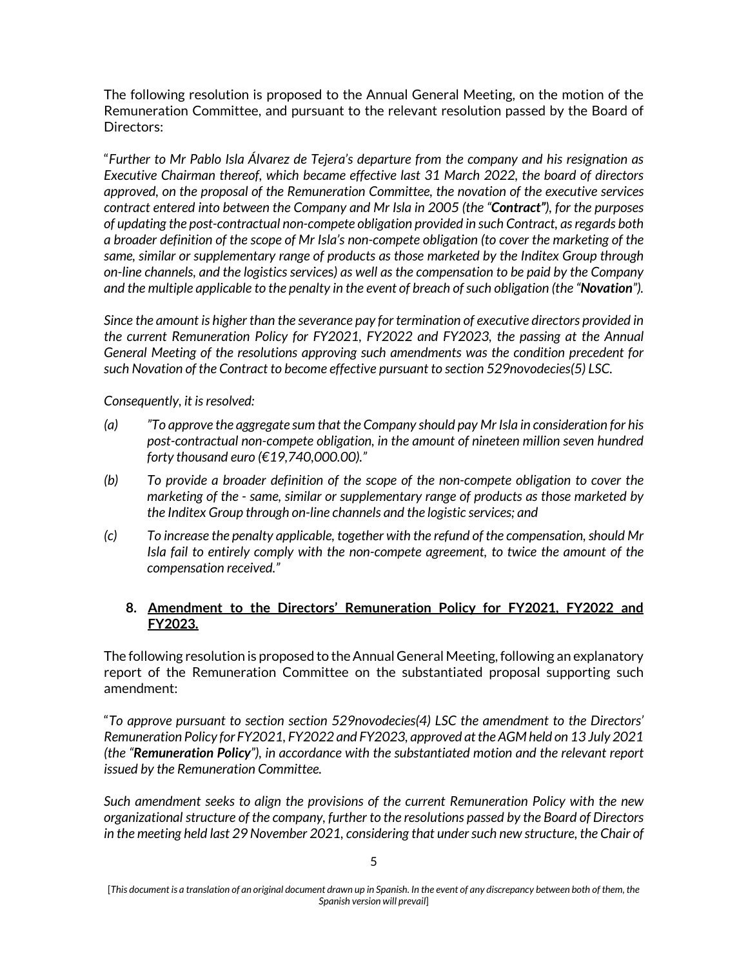The following resolution is proposed to the Annual General Meeting, on the motion of the Remuneration Committee, and pursuant to the relevant resolution passed by the Board of Directors:

"*Further to Mr Pablo Isla Álvarez de Tejera's departure from the company and his resignation as Executive Chairman thereof, which became effective last 31 March 2022, the board of directors approved, on the proposal of the Remuneration Committee, the novation of the executive services contract entered into between the Company and Mr Isla in 2005 (the "Contract"), for the purposes of updating the post-contractual non-compete obligation provided in such Contract, as regards both a broader definition of the scope of Mr Isla's non-compete obligation (to cover the marketing of the same, similar or supplementary range of products as those marketed by the Inditex Group through on-line channels, and the logistics service*s*) as well as the compensation to be paid by the Company and the multiple applicable to the penalty in the event of breach of such obligation (the "Novation").*

*Since the amount is higher than the severance pay for termination of executive directors provided in the current Remuneration Policy for FY2021, FY2022 and FY2023, the passing at the Annual General Meeting of the resolutions approving such amendments was the condition precedent for such Novation of the Contract to become effective pursuant to section 529novodecies(5) LSC.* 

*Consequently, it is resolved:*

- *(a) "To approve the aggregate sum that the Company should pay Mr Isla in consideration for his post-contractual non-compete obligation, in the amount of nineteen million seven hundred forty thousand euro (€19,740,000.00)."*
- *(b) To provide a broader definition of the scope of the non-compete obligation to cover the marketing of the - same, similar or supplementary range of products as those marketed by the Inditex Group through on-line channels and the logistic services; and*
- *(c) To increase the penalty applicable, together with the refund of the compensation, should Mr Isla fail to entirely comply with the non-compete agreement, to twice the amount of the compensation received."*

### **8. Amendment to the Directors' Remuneration Policy for FY2021, FY2022 and FY2023.**

The following resolution is proposed to the Annual General Meeting, following an explanatory report of the Remuneration Committee on the substantiated proposal supporting such amendment:

"*To approve pursuant to section section 529novodecies(4) LSC the amendment to the Directors' Remuneration Policy for FY2021, FY2022 and FY2023, approved at the AGM held on 13 July 2021 (the "Remuneration Policy"), in accordance with the substantiated motion and the relevant report issued by the Remuneration Committee.*

*Such amendment seeks to align the provisions of the current Remuneration Policy with the new organizational structure of the company, further to the resolutions passed by the Board of Directors*  in the meeting held last 29 November 2021, considering that under such new structure, the Chair of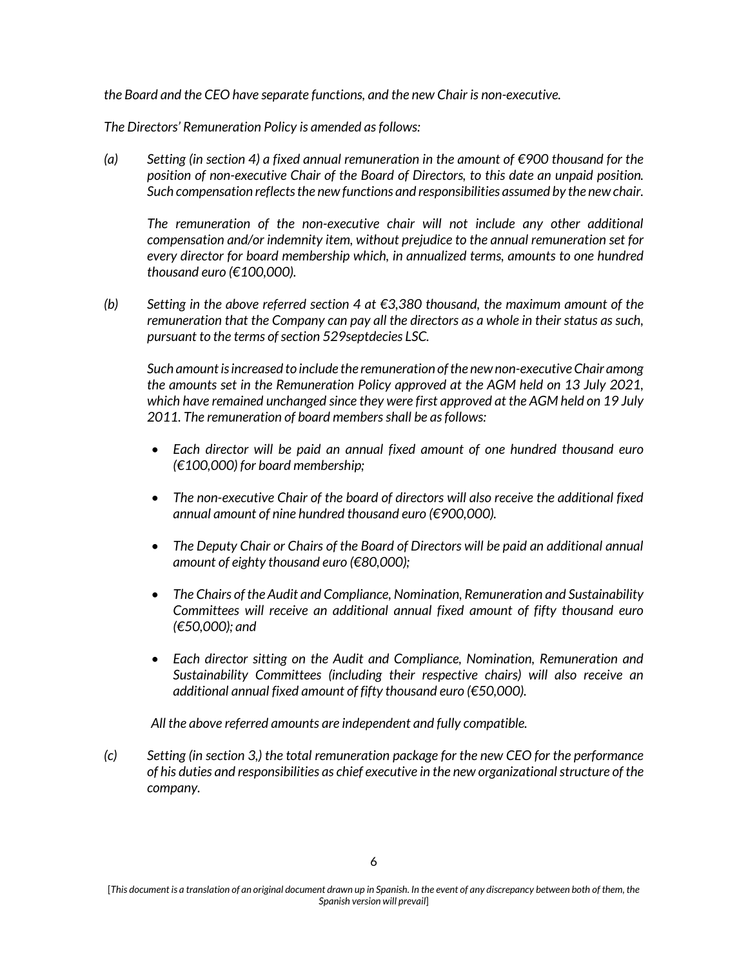*the Board and the CEO have separate functions, and the new Chair is non-executive.*

*The Directors' Remuneration Policy is amended as follows:*

*(a) Setting (in section 4) a fixed annual remuneration in the amount of €900 thousand for the position of non-executive Chair of the Board of Directors, to this date an unpaid position. Such compensation reflects the new functions and responsibilities assumed by the new chair.*

The remuneration of the non-executive chair will not include any other additional *compensation and/or indemnity item, without prejudice to the annual remuneration set for every director for board membership which, in annualized terms, amounts to one hundred thousand euro (€100,000).* 

*(b) Setting in the above referred section 4 at €3,380 thousand, the maximum amount of the remuneration that the Company can pay all the directors as a whole in their status as such, pursuant to the terms of section 529septdecies LSC.* 

*Such amount is increased to include the remuneration of the new non-executive Chair among the amounts set in the Remuneration Policy approved at the AGM held on 13 July 2021, which have remained unchanged since they were first approved at the AGM held on 19 July 2011. The remuneration of board members shall be as follows:*

- *Each director will be paid an annual fixed amount of one hundred thousand euro (€100,000) for board membership;*
- *The non-executive Chair of the board of directors will also receive the additional fixed annual amount of nine hundred thousand euro (€900,000).*
- *The Deputy Chair or Chairs of the Board of Directors will be paid an additional annual amount of eighty thousand euro (€80,000);*
- *The Chairs of the Audit and Compliance, Nomination, Remuneration and Sustainability Committees will receive an additional annual fixed amount of fifty thousand euro (€50,000); and*
- *Each director sitting on the Audit and Compliance, Nomination, Remuneration and Sustainability Committees (including their respective chairs) will also receive an additional annual fixed amount of fifty thousand euro (€50,000).*

*All the above referred amounts are independent and fully compatible.*

*(c) Setting (in section 3,) the total remuneration package for the new CEO for the performance of his duties and responsibilities as chief executive in the new organizational structure of the company.*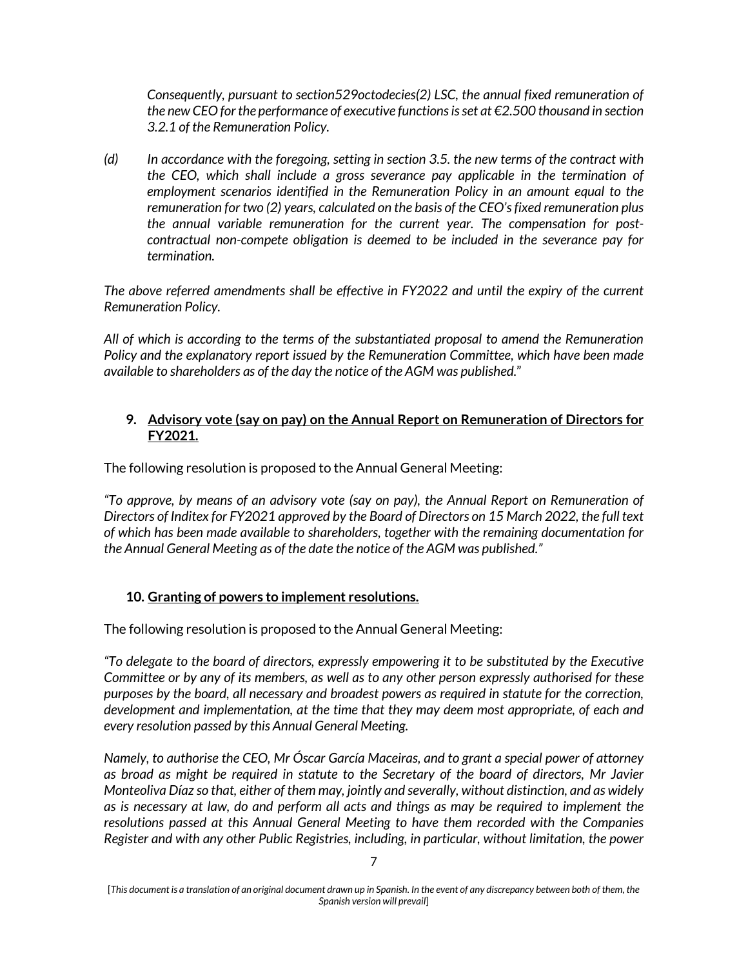*Consequently, pursuant to section529octodecies(2) LSC, the annual fixed remuneration of the new CEO for the performance of executive functions is set at €2.500 thousand in section 3.2.1 of the Remuneration Policy.*

*(d) In accordance with the foregoing, setting in section 3.5. the new terms of the contract with the CEO, which shall include a gross severance pay applicable in the termination of employment scenarios identified in the Remuneration Policy in an amount equal to the remuneration for two (2) years, calculated on the basis of the CEO's fixed remuneration plus the annual variable remuneration for the current year. The compensation for postcontractual non-compete obligation is deemed to be included in the severance pay for termination.* 

*The above referred amendments shall be effective in FY2022 and until the expiry of the current Remuneration Policy.*

*All of which is according to the terms of the substantiated proposal to amend the Remuneration Policy and the explanatory report issued by the Remuneration Committee, which have been made available to shareholders as of the day the notice of the AGM was published.*"

### **9. Advisory vote (say on pay) on [the Annual Report on Remuneration of Directors](https://www.iberdrola.es/webibd/gc/prod/es/doc/jga12_InformeAdministradoresPropuestaDecimoquinto.pdf) for FY2021.**

The following resolution is proposed to the Annual General Meeting:

*"To approve, by means of an advisory vote (say on pay), the Annual Report on Remuneration of Directors of Inditex for FY2021 approved by the Board of Directors on 15 March 2022, the full text of which has been made available to shareholders, together with the remaining documentation for the Annual General Meeting as of the date the notice of the AGM was published."*

# **10. Granting of powers to implement resolutions.**

The following resolution is proposed to the Annual General Meeting:

*"To delegate to the board of directors, expressly empowering it to be substituted by the Executive Committee or by any of its members, as well as to any other person expressly authorised for these purposes by the board, all necessary and broadest powers as required in statute for the correction, development and implementation, at the time that they may deem most appropriate, of each and every resolution passed by this Annual General Meeting.*

*Namely, to authorise the CEO, Mr Óscar García Maceiras, and to grant a special power of attorney as broad as might be required in statute to the Secretary of the board of directors, Mr Javier Monteoliva Díaz so that, either of them may, jointly and severally, without distinction, and as widely as is necessary at law, do and perform all acts and things as may be required to implement the resolutions passed at this Annual General Meeting to have them recorded with the Companies Register and with any other Public Registries, including, in particular, without limitation, the power*